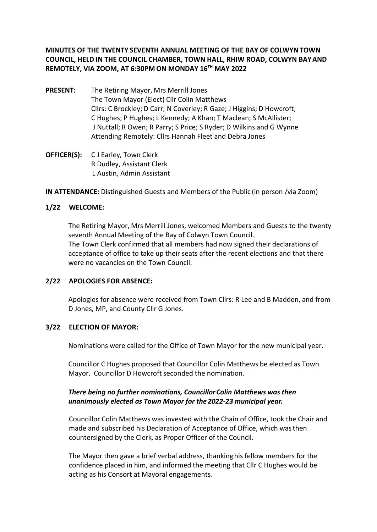**MINUTES OF THE TWENTY SEVENTH ANNUAL MEETING OF THE BAY OF COLWYN TOWN COUNCIL, HELD IN THE COUNCIL CHAMBER, TOWN HALL, RHIW ROAD, COLWYN BAY AND REMOTELY, VIA ZOOM, AT 6:30PM ON MONDAY 16TH MAY 2022**

- **PRESENT:** The Retiring Mayor, Mrs Merrill Jones The Town Mayor (Elect) Cllr Colin Matthews Cllrs: C Brockley; D Carr; N Coverley; R Gaze; J Higgins; D Howcroft; C Hughes; P Hughes; L Kennedy; A Khan; T Maclean; S McAllister; J Nuttall; R Owen; R Parry; S Price; S Ryder; D Wilkins and G Wynne Attending Remotely: Cllrs Hannah Fleet and Debra Jones
- **OFFICER(S):** C J Earley, Town Clerk R Dudley, Assistant Clerk L Austin, Admin Assistant

**IN ATTENDANCE:** Distinguished Guests and Members of the Public (in person /via Zoom)

### **1/22 WELCOME:**

The Retiring Mayor, Mrs Merrill Jones, welcomed Members and Guests to the twenty seventh Annual Meeting of the Bay of Colwyn Town Council. The Town Clerk confirmed that all members had now signed their declarations of acceptance of office to take up their seats after the recent elections and that there were no vacancies on the Town Council.

### **2/22 APOLOGIES FOR ABSENCE:**

Apologies for absence were received from Town Cllrs: R Lee and B Madden, and from D Jones, MP, and County Cllr G Jones.

#### **3/22 ELECTION OF MAYOR:**

Nominations were called for the Office of Town Mayor for the new municipal year.

Councillor C Hughes proposed that Councillor Colin Matthews be elected as Town Mayor. Councillor D Howcroft seconded the nomination.

### *There being no further nominations, Councillor Colin Matthews was then unanimously elected as Town Mayor for the 2022-23 municipal year.*

Councillor Colin Matthews was invested with the Chain of Office, took the Chair and made and subscribed his Declaration of Acceptance of Office, which was then countersigned by the Clerk, as Proper Officer of the Council.

The Mayor then gave a brief verbal address, thanking his fellow members for the confidence placed in him, and informed the meeting that Cllr C Hughes would be acting as his Consort at Mayoral engagements.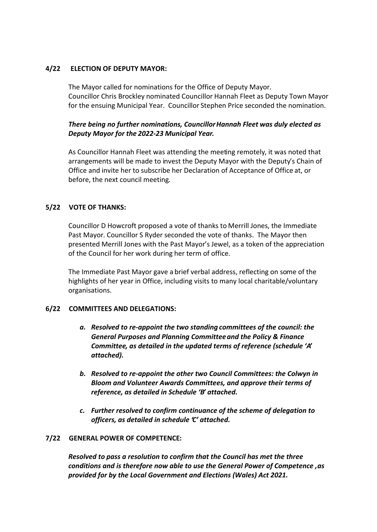## **4/22 ELECTION OF DEPUTY MAYOR:**

The Mayor called for nominations for the Office of Deputy Mayor. Councillor Chris Brockley nominated Councillor Hannah Fleet as Deputy Town Mayor for the ensuing Municipal Year. Councillor Stephen Price seconded the nomination.

## *There being no further nominations, Councillor Hannah Fleet was duly elected as Deputy Mayor for the 2022-23 Municipal Year.*

As Councillor Hannah Fleet was attending the meeting remotely, it was noted that arrangements will be made to invest the Deputy Mayor with the Deputy's Chain of Office and invite her to subscribe her Declaration of Acceptance of Office at, or before, the next council meeting.

## **5/22 VOTE OF THANKS:**

Councillor D Howcroft proposed a vote of thanks to Merrill Jones, the Immediate Past Mayor. Councillor S Ryder seconded the vote of thanks. The Mayor then presented Merrill Jones with the Past Mayor's Jewel, as a token of the appreciation of the Council for her work during her term of office.

The Immediate Past Mayor gave a brief verbal address, reflecting on some of the highlights of her year in Office, including visits to many local charitable/voluntary organisations.

### **6/22 COMMITTEES AND DELEGATIONS:**

- *a. Resolved to re-appoint the two standing committees of the council: the General Purposes and Planning Committee and the Policy & Finance Committee, as detailed in the updated terms of reference (schedule 'A' attached).*
- *b. Resolved to re-appoint the other two Council Committees: the Colwyn in Bloom and Volunteer Awards Committees, and approve their terms of reference, as detailed in Schedule 'B' attached.*
- *c. Further resolved to confirm continuance of the scheme of delegation to officers, as detailed in schedule 'C' attached.*

### **7/22 GENERAL POWER OF COMPETENCE:**

*Resolved to pass a resolution to confirm that the Council has met the three conditions and is therefore now able to use the General Power of Competence , as provided for by the Local Government and Elections (Wales) Act 2021.*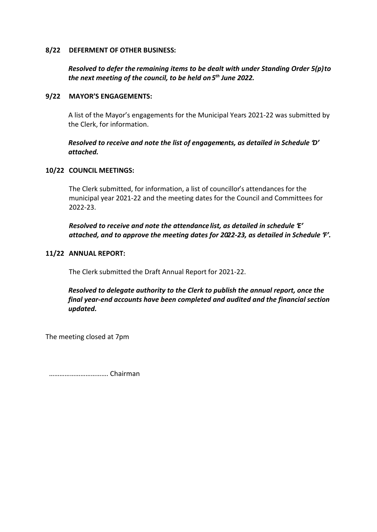#### **8/22 DEFERMENT OF OTHER BUSINESS:**

## *Resolved to defer the remaining items to be dealt with under Standing Order 5(p) to the next meeting of the council, to be held on 5th June 2022.*

#### **9/22 MAYOR'S ENGAGEMENTS:**

A list of the Mayor's engagements for the Municipal Years 2021-22 was submitted by the Clerk, for information.

## *Resolved to receive and note the list of engagements, as detailed in Schedule 'D' attached.*

#### **10/22 COUNCIL MEETINGS:**

The Clerk submitted, for information, a list of councillor's attendances for the municipal year 2021-22 and the meeting dates for the Council and Committees for 2022-23.

*Resolved to receive and note the attendance list, as detailed in schedule 'E' attached, and to approve the meeting dates for 2022-23, as detailed in Schedule 'F'.*

#### **11/22 ANNUAL REPORT:**

The Clerk submitted the Draft Annual Report for 2021-22.

*Resolved to delegate authority to the Clerk to publish the annual report, once the final year-end accounts have been completed and audited and the financial section updated.*

The meeting closed at 7pm

……………………………. Chairman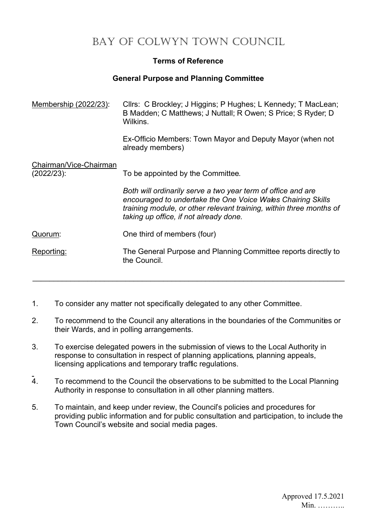# **Terms of Reference**

## **General Purpose and Planning Committee**

| <u>Membership (2022/23):</u>            | Cllrs: C Brockley; J Higgins; P Hughes; L Kennedy; T MacLean;<br>B Madden; C Matthews; J Nuttall; R Owen; S Price; S Ryder; D<br>Wilkins.                                                                                                    |  |
|-----------------------------------------|----------------------------------------------------------------------------------------------------------------------------------------------------------------------------------------------------------------------------------------------|--|
|                                         | Ex-Officio Members: Town Mayor and Deputy Mayor (when not<br>already members)                                                                                                                                                                |  |
| Chairman/Vice-Chairman<br>$(2022/23)$ : | To be appointed by the Committee.                                                                                                                                                                                                            |  |
|                                         | Both will ordinarily serve a two year term of office and are<br>encouraged to undertake the One Voice Wales Chairing Skills<br>training module, or other relevant training, within three months of<br>taking up office, if not already done. |  |
| Quorum:                                 | One third of members (four)                                                                                                                                                                                                                  |  |
| <u>Reporting:</u>                       | The General Purpose and Planning Committee reports directly to<br>the Council.                                                                                                                                                               |  |

- 1. To consider any matter not specifically delegated to any other Committee.
- 2. To recommend to the Council any alterations in the boundaries of the Communities or their Wards, and in polling arrangements.

 $\mathcal{L}_\mathcal{L} = \mathcal{L}_\mathcal{L} = \mathcal{L}_\mathcal{L} = \mathcal{L}_\mathcal{L} = \mathcal{L}_\mathcal{L} = \mathcal{L}_\mathcal{L} = \mathcal{L}_\mathcal{L} = \mathcal{L}_\mathcal{L} = \mathcal{L}_\mathcal{L} = \mathcal{L}_\mathcal{L} = \mathcal{L}_\mathcal{L} = \mathcal{L}_\mathcal{L} = \mathcal{L}_\mathcal{L} = \mathcal{L}_\mathcal{L} = \mathcal{L}_\mathcal{L} = \mathcal{L}_\mathcal{L} = \mathcal{L}_\mathcal{L}$ 

- 3. To exercise delegated powers in the submission of views to the Local Authority in response to consultation in respect of planning applications, planning appeals, licensing applications and temporary traffic regulations.
- 4. To recommend to the Council the observations to be submitted to the Local Planning Authority in response to consultation in all other planning matters.
- 5. To maintain, and keep under review, the Council's policies and procedures for providing public information and for public consultation and participation, to include the Town Council's website and social media pages.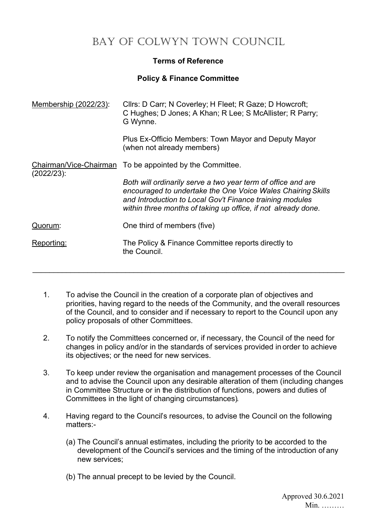# **Terms of Reference**

## **Policy & Finance Committee**

| Clirs: D Carr; N Coverley; H Fleet; R Gaze; D Howcroft;<br>C Hughes; D Jones; A Khan; R Lee; S McAllister; R Parry;<br>G Wynne.                                                                                                                          |
|----------------------------------------------------------------------------------------------------------------------------------------------------------------------------------------------------------------------------------------------------------|
| Plus Ex-Officio Members: Town Mayor and Deputy Mayor<br>(when not already members)                                                                                                                                                                       |
| Chairman/Vice-Chairman To be appointed by the Committee.                                                                                                                                                                                                 |
| Both will ordinarily serve a two year term of office and are<br>encouraged to undertake the One Voice Wales Chairing Skills<br>and Introduction to Local Gov't Finance training modules<br>within three months of taking up office, if not already done. |
| One third of members (five)                                                                                                                                                                                                                              |
| The Policy & Finance Committee reports directly to<br>the Council.                                                                                                                                                                                       |
|                                                                                                                                                                                                                                                          |

- 1. To advise the Council in the creation of a corporate plan of objectives and priorities, having regard to the needs of the Community, and the overall resources of the Council, and to consider and if necessary to report to the Council upon any policy proposals of other Committees.
- 2. To notify the Committees concerned or, if necessary, the Council of the need for changes in policy and/or in the standards of services provided in order to achieve its objectives; or the need for new services.
- 3. To keep under review the organisation and management processes of the Council and to advise the Council upon any desirable alteration of them (including changes in Committee Structure or in the distribution of functions, powers and duties of Committees in the light of changing circumstances).
- 4. Having regard to the Council's resources, to advise the Council on the following matters:-
	- (a) The Council's annual estimates, including the priority to be accorded to the development of the Council's services and the timing of the introduction of any new services;
	- (b) The annual precept to be levied by the Council.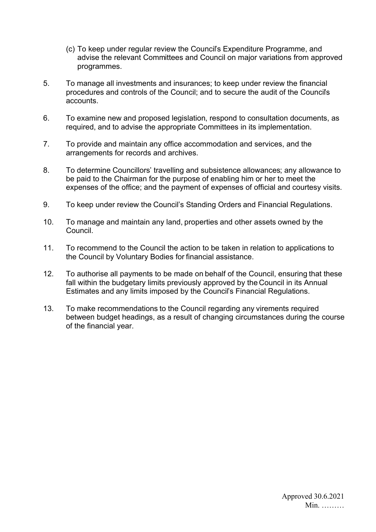- (c) To keep under regular review the Council's Expenditure Programme, and advise the relevant Committees and Council on major variations from approved programmes.
- 5. To manage all investments and insurances; to keep under review the financial procedures and controls of the Council; and to secure the audit of the Council's accounts.
- 6. To examine new and proposed legislation, respond to consultation documents, as required, and to advise the appropriate Committees in its implementation.
- 7. To provide and maintain any office accommodation and services, and the arrangements for records and archives.
- 8. To determine Councillors' travelling and subsistence allowances; any allowance to be paid to the Chairman for the purpose of enabling him or her to meet the expenses of the office; and the payment of expenses of official and courtesy visits.
- 9. To keep under review the Council's Standing Orders and Financial Regulations.
- 10. To manage and maintain any land, properties and other assets owned by the Council.
- 11. To recommend to the Council the action to be taken in relation to applications to the Council by Voluntary Bodies for financial assistance.
- 12. To authorise all payments to be made on behalf of the Council, ensuring that these fall within the budgetary limits previously approved by the Council in its Annual Estimates and any limits imposed by the Council's Financial Regulations.
- 13. To make recommendations to the Council regarding any virements required between budget headings, as a result of changing circumstances during the course of the financial year.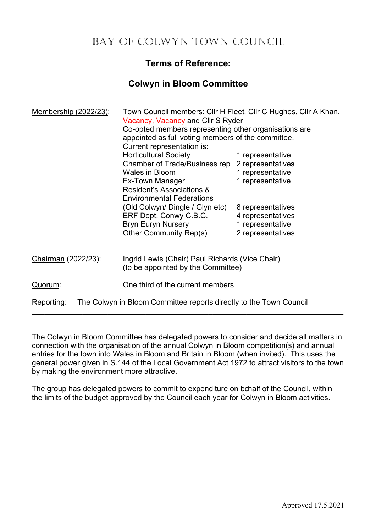# **Terms of Reference:**

# **Colwyn in Bloom Committee**

| Membership (2022/23):                                                            | Town Council members: Cllr H Fleet, Cllr C Hughes, Cllr A Khan,<br>Vacancy, Vacancy and Cllr S Ryder<br>Co-opted members representing other organisations are<br>appointed as full voting members of the committee.<br>Current representation is: |                                                                                 |  |
|----------------------------------------------------------------------------------|---------------------------------------------------------------------------------------------------------------------------------------------------------------------------------------------------------------------------------------------------|---------------------------------------------------------------------------------|--|
|                                                                                  | <b>Horticultural Society</b><br>Chamber of Trade/Business rep 2 representatives                                                                                                                                                                   | 1 representative                                                                |  |
|                                                                                  | <b>Wales in Bloom</b><br>Ex-Town Manager<br>Resident's Associations &<br><b>Environmental Federations</b>                                                                                                                                         | 1 representative<br>1 representative                                            |  |
|                                                                                  | (Old Colwyn/ Dingle / Glyn etc)<br>ERF Dept, Conwy C.B.C.<br><b>Bryn Euryn Nursery</b><br>Other Community Rep(s)                                                                                                                                  | 8 representatives<br>4 representatives<br>1 representative<br>2 representatives |  |
| Chairman (2022/23):                                                              | Ingrid Lewis (Chair) Paul Richards (Vice Chair)<br>(to be appointed by the Committee)                                                                                                                                                             |                                                                                 |  |
| Quorum:                                                                          | One third of the current members                                                                                                                                                                                                                  |                                                                                 |  |
| The Colwyn in Bloom Committee reports directly to the Town Council<br>Reporting: |                                                                                                                                                                                                                                                   |                                                                                 |  |

The Colwyn in Bloom Committee has delegated powers to consider and decide all matters in connection with the organisation of the annual Colwyn in Bloom competition(s) and annual entries for the town into Wales in Bloom and Britain in Bloom (when invited). This uses the general power given in S.144 of the Local Government Act 1972 to attract visitors to the town by making the environment more attractive.

The group has delegated powers to commit to expenditure on behalf of the Council, within the limits of the budget approved by the Council each year for Colwyn in Bloom activities.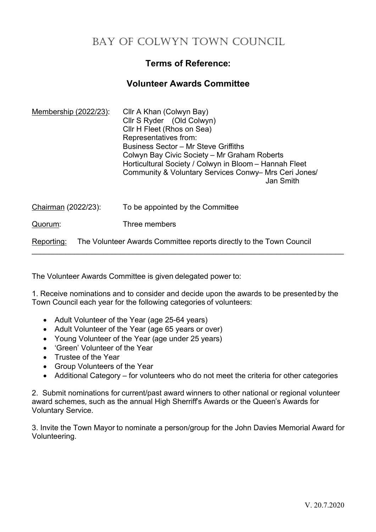# **Terms of Reference:**

# **Volunteer Awards Committee**

| Membership (2022/23): | Cllr A Khan (Colwyn Bay)<br>Cllr S Ryder (Old Colwyn)<br>Cllr H Fleet (Rhos on Sea)<br>Representatives from:<br><b>Business Sector - Mr Steve Griffiths</b><br>Colwyn Bay Civic Society - Mr Graham Roberts<br>Horticultural Society / Colwyn in Bloom - Hannah Fleet<br>Community & Voluntary Services Conwy– Mrs Ceri Jones/<br>Jan Smith |
|-----------------------|---------------------------------------------------------------------------------------------------------------------------------------------------------------------------------------------------------------------------------------------------------------------------------------------------------------------------------------------|
| Chairman (2022/23):   | To be appointed by the Committee                                                                                                                                                                                                                                                                                                            |
| Quorum:               | Three members                                                                                                                                                                                                                                                                                                                               |
| Reporting:            | The Volunteer Awards Committee reports directly to the Town Council                                                                                                                                                                                                                                                                         |

The Volunteer Awards Committee is given delegated power to:

1. Receive nominations and to consider and decide upon the awards to be presented by the Town Council each year for the following categories of volunteers:

- Adult Volunteer of the Year (age 25-64 years)
- Adult Volunteer of the Year (age 65 years or over)
- Young Volunteer of the Year (age under 25 years)
- 'Green' Volunteer of the Year
- Trustee of the Year
- Group Volunteers of the Year
- Additional Category for volunteers who do not meet the criteria for other categories

2. Submit nominations for current/past award winners to other national or regional volunteer award schemes, such as the annual High Sherriff's Awards or the Queen's Awards for Voluntary Service.

3. Invite the Town Mayor to nominate a person/group for the John Davies Memorial Award for Volunteering.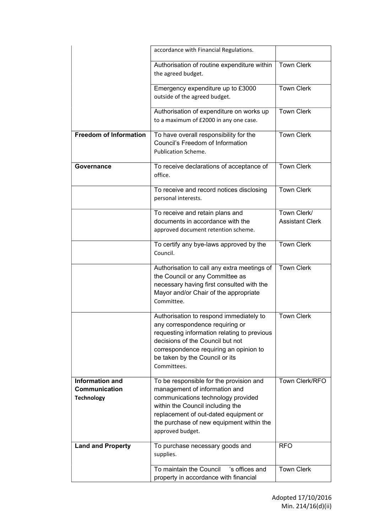|                                                                     | accordance with Financial Regulations.                                                                                                                                                                                                                      |                                       |
|---------------------------------------------------------------------|-------------------------------------------------------------------------------------------------------------------------------------------------------------------------------------------------------------------------------------------------------------|---------------------------------------|
|                                                                     | Authorisation of routine expenditure within<br>the agreed budget.                                                                                                                                                                                           | <b>Town Clerk</b>                     |
|                                                                     | Emergency expenditure up to £3000<br>outside of the agreed budget.                                                                                                                                                                                          | <b>Town Clerk</b>                     |
|                                                                     | Authorisation of expenditure on works up<br>to a maximum of £2000 in any one case.                                                                                                                                                                          | <b>Town Clerk</b>                     |
| <b>Freedom of Information</b>                                       | To have overall responsibility for the<br>Council's Freedom of Information<br>Publication Scheme.                                                                                                                                                           | <b>Town Clerk</b>                     |
| Governance                                                          | To receive declarations of acceptance of<br>office.                                                                                                                                                                                                         | <b>Town Clerk</b>                     |
|                                                                     | To receive and record notices disclosing<br>personal interests.                                                                                                                                                                                             | <b>Town Clerk</b>                     |
|                                                                     | To receive and retain plans and<br>documents in accordance with the<br>approved document retention scheme.                                                                                                                                                  | Town Clerk/<br><b>Assistant Clerk</b> |
|                                                                     | To certify any bye-laws approved by the<br>Council.                                                                                                                                                                                                         | <b>Town Clerk</b>                     |
|                                                                     | Authorisation to call any extra meetings of<br>the Council or any Committee as<br>necessary having first consulted with the<br>Mayor and/or Chair of the appropriate<br>Committee.                                                                          | <b>Town Clerk</b>                     |
|                                                                     | Authorisation to respond immediately to<br>any correspondence requiring or<br>requesting information relating to previous<br>decisions of the Council but not<br>correspondence requiring an opinion to<br>be taken by the Council or its<br>Committees.    | <b>Town Clerk</b>                     |
| <b>Information and</b><br><b>Communication</b><br><b>Technology</b> | To be responsible for the provision and<br>management of information and<br>communications technology provided<br>within the Council including the<br>replacement of out-dated equipment or<br>the purchase of new equipment within the<br>approved budget. | Town Clerk/RFO                        |
| <b>Land and Property</b>                                            | To purchase necessary goods and<br>supplies.                                                                                                                                                                                                                | <b>RFO</b>                            |
|                                                                     | To maintain the Council<br>'s offices and<br>property in accordance with financial                                                                                                                                                                          | <b>Town Clerk</b>                     |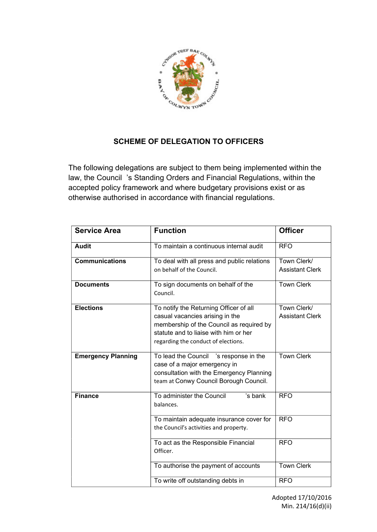

# **SCHEME OF DELEGATION TO OFFICERS**

The following delegations are subject to them being implemented within the law, the Council 's Standing Orders and Financial Regulations, within the accepted policy framework and where budgetary provisions exist or as otherwise authorised in accordance with financial regulations.

| <b>Service Area</b>       | <b>Function</b>                                                                                                                                                                                       | <b>Officer</b>                        |
|---------------------------|-------------------------------------------------------------------------------------------------------------------------------------------------------------------------------------------------------|---------------------------------------|
| <b>Audit</b>              | To maintain a continuous internal audit                                                                                                                                                               | <b>RFO</b>                            |
| <b>Communications</b>     | To deal with all press and public relations<br>on behalf of the Council.                                                                                                                              | Town Clerk/<br><b>Assistant Clerk</b> |
| <b>Documents</b>          | To sign documents on behalf of the<br>Council.                                                                                                                                                        | <b>Town Clerk</b>                     |
| <b>Elections</b>          | To notify the Returning Officer of all<br>casual vacancies arising in the<br>membership of the Council as required by<br>statute and to liaise with him or her<br>regarding the conduct of elections. | Town Clerk/<br><b>Assistant Clerk</b> |
| <b>Emergency Planning</b> | To lead the Council 's response in the<br>case of a major emergency in<br>consultation with the Emergency Planning<br>team at Conwy Council Borough Council.                                          | <b>Town Clerk</b>                     |
| <b>Finance</b>            | To administer the Council<br>'s bank<br>balances.                                                                                                                                                     | <b>RFO</b>                            |
|                           | To maintain adequate insurance cover for<br>the Council's activities and property.                                                                                                                    | <b>RFO</b>                            |
|                           | To act as the Responsible Financial<br>Officer.                                                                                                                                                       | <b>RFO</b>                            |
|                           | To authorise the payment of accounts                                                                                                                                                                  | <b>Town Clerk</b>                     |
|                           | To write off outstanding debts in                                                                                                                                                                     | <b>RFO</b>                            |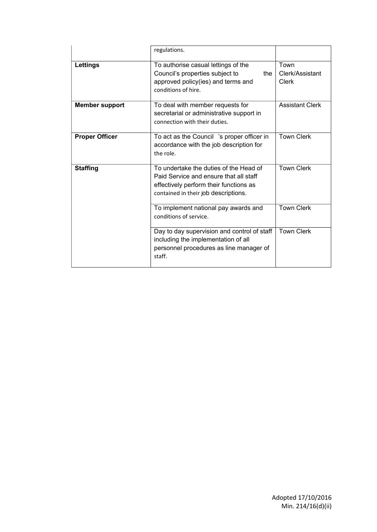|                       | regulations.                                                                                                                                                       |                                  |
|-----------------------|--------------------------------------------------------------------------------------------------------------------------------------------------------------------|----------------------------------|
| Lettings              | To authorise casual lettings of the<br>Council's properties subject to<br>the<br>approved policy(ies) and terms and<br>conditions of hire.                         | Town<br>Clerk/Assistant<br>Clerk |
| <b>Member support</b> | To deal with member requests for<br>secretarial or administrative support in<br>connection with their duties.                                                      | <b>Assistant Clerk</b>           |
| <b>Proper Officer</b> | To act as the Council 's proper officer in<br>accordance with the job description for<br>the role.                                                                 | <b>Town Clerk</b>                |
| <b>Staffing</b>       | To undertake the duties of the Head of<br>Paid Service and ensure that all staff<br>effectively perform their functions as<br>contained in their job descriptions. | <b>Town Clerk</b>                |
|                       | To implement national pay awards and<br>conditions of service.                                                                                                     | <b>Town Clerk</b>                |
|                       | Day to day supervision and control of staff<br>including the implementation of all<br>personnel procedures as line manager of<br>staff.                            | <b>Town Clerk</b>                |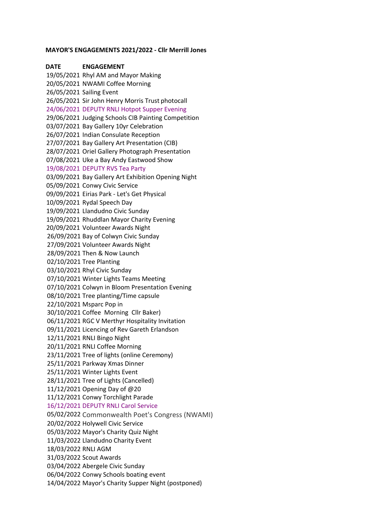#### **MAYOR'S ENGAGEMENTS 2021/2022 - Cllr Merrill Jones**

**DATE ENGAGEMENT** 19/05/2021 Rhyl AM and Mayor Making 20/05/2021 NWAMI Coffee Morning 26/05/2021 Sailing Event 26/05/2021 Sir John Henry Morris Trust photocall 24/06/2021 DEPUTY RNLI Hotpot Supper Evening 29/06/2021 Judging Schools CIB Painting Competition 03/07/2021 Bay Gallery 10yr Celebration 26/07/2021 Indian Consulate Reception 27/07/2021 Bay Gallery Art Presentation (CIB) 28/07/2021 Oriel Gallery Photograph Presentation 07/08/2021 Uke a Bay Andy Eastwood Show 19/08/2021 DEPUTY RVS Tea Party 03/09/2021 Bay Gallery Art Exhibition Opening Night 05/09/2021 Conwy Civic Service 09/09/2021 Eirias Park - Let's Get Physical 10/09/2021 Rydal Speech Day 19/09/2021 Llandudno Civic Sunday 19/09/2021 Rhuddlan Mayor Charity Evening 20/09/2021 Volunteer Awards Night 26/09/2021 Bay of Colwyn Civic Sunday 27/09/2021 Volunteer Awards Night 28/09/2021 Then & Now Launch 02/10/2021 Tree Planting 03/10/2021 Rhyl Civic Sunday 07/10/2021 Winter Lights Teams Meeting 07/10/2021 Colwyn in Bloom Presentation Evening 08/10/2021 Tree planting/Time capsule 22/10/2021 Msparc Pop in 30/10/2021 Coffee Morning Cllr Baker) 06/11/2021 RGC V Merthyr Hospitality Invitation 09/11/2021 Licencing of Rev Gareth Erlandson 12/11/2021 RNLI Bingo Night 20/11/2021 RNLI Coffee Morning 23/11/2021 Tree of lights (online Ceremony) 25/11/2021 Parkway Xmas Dinner 25/11/2021 Winter Lights Event 28/11/2021 Tree of Lights (Cancelled) 11/12/2021 Opening Day of @20 11/12/2021 Conwy Torchlight Parade 16/12/2021 DEPUTY RNLI Carol Service 05/02/2022 Commonwealth Poet's Congress (NWAMI) 20/02/2022 Holywell Civic Service 05/03/2022 Mayor's Charity Quiz Night 11/03/2022 Llandudno Charity Event 18/03/2022 RNLI AGM 31/03/2022 Scout Awards 03/04/2022 Abergele Civic Sunday 06/04/2022 Conwy Schools boating event 14/04/2022 Mayor's Charity Supper Night (postponed)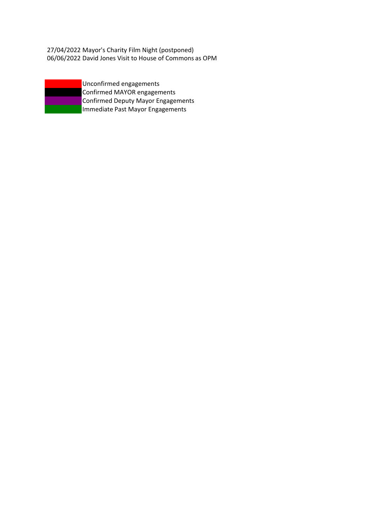27/04/2022 Mayor's Charity Film Night (postponed) 06/06/2022 David Jones Visit to House of Commons as OPM



Confirmed MAYOR engagements Confirmed Deputy Mayor Engagements Immediate Past Mayor Engagements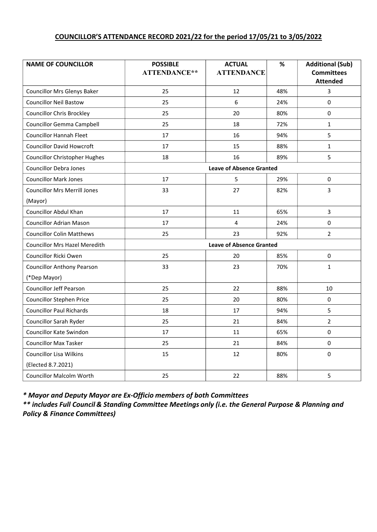# **COUNCILLOR'S ATTENDANCE RECORD 2021/22 for the period 17/05/21 to 3/05/2022**

| <b>NAME OF COUNCILLOR</b>            | <b>POSSIBLE</b><br>ATTENDANCE** | <b>ACTUAL</b><br><b>ATTENDANCE</b> | $\%$ | <b>Additional (Sub)</b><br><b>Committees</b><br><b>Attended</b> |
|--------------------------------------|---------------------------------|------------------------------------|------|-----------------------------------------------------------------|
| <b>Councillor Mrs Glenys Baker</b>   | 25                              | 12                                 | 48%  | 3                                                               |
| <b>Councillor Neil Bastow</b>        | 25                              | 6                                  | 24%  | 0                                                               |
| <b>Councillor Chris Brockley</b>     | 25                              | 20                                 | 80%  | $\Omega$                                                        |
| <b>Councillor Gemma Campbell</b>     | 25                              | 18                                 | 72%  | $\mathbf{1}$                                                    |
| <b>Councillor Hannah Fleet</b>       | 17                              | 16                                 | 94%  | 5                                                               |
| <b>Councillor David Howcroft</b>     | 17                              | 15                                 | 88%  | $\mathbf{1}$                                                    |
| <b>Councillor Christopher Hughes</b> | 18                              | 16                                 | 89%  | 5                                                               |
| <b>Councillor Debra Jones</b>        |                                 | <b>Leave of Absence Granted</b>    |      |                                                                 |
| <b>Councillor Mark Jones</b>         | 17                              | 5                                  | 29%  | $\mathbf 0$                                                     |
| <b>Councillor Mrs Merrill Jones</b>  | 33                              | 27                                 | 82%  | 3                                                               |
| (Mayor)                              |                                 |                                    |      |                                                                 |
| <b>Councillor Abdul Khan</b>         | 17                              | 11                                 | 65%  | 3                                                               |
| <b>Councillor Adrian Mason</b>       | 17                              | 4                                  | 24%  | $\mathbf 0$                                                     |
| <b>Councillor Colin Matthews</b>     | 25                              | 23                                 | 92%  | $\overline{2}$                                                  |
| <b>Councillor Mrs Hazel Meredith</b> | <b>Leave of Absence Granted</b> |                                    |      |                                                                 |
| Councillor Ricki Owen                | 25                              | 20                                 | 85%  | $\mathbf 0$                                                     |
| <b>Councillor Anthony Pearson</b>    | 33                              | 23                                 | 70%  | $\mathbf{1}$                                                    |
| (*Dep Mayor)                         |                                 |                                    |      |                                                                 |
| <b>Councillor Jeff Pearson</b>       | 25                              | 22                                 | 88%  | 10                                                              |
| <b>Councillor Stephen Price</b>      | 25                              | 20                                 | 80%  | $\Omega$                                                        |
| <b>Councillor Paul Richards</b>      | 18                              | 17                                 | 94%  | 5                                                               |
| Councillor Sarah Ryder               | 25                              | 21                                 | 84%  | $\overline{2}$                                                  |
| Councillor Kate Swindon              | 17                              | 11                                 | 65%  | $\mathbf 0$                                                     |
| <b>Councillor Max Tasker</b>         | 25                              | 21                                 | 84%  | $\mathbf 0$                                                     |
| <b>Councillor Lisa Wilkins</b>       | 15                              | 12                                 | 80%  | $\mathbf 0$                                                     |
| (Elected 8.7.2021)                   |                                 |                                    |      |                                                                 |
| <b>Councillor Malcolm Worth</b>      | 25                              | 22                                 | 88%  | 5                                                               |

*\* Mayor and Deputy Mayor are Ex-Officio members of both Committees*

*\*\* includes Full Council & Standing Committee Meetings only (i.e. the General Purpose & Planning and Policy & Finance Committees)*